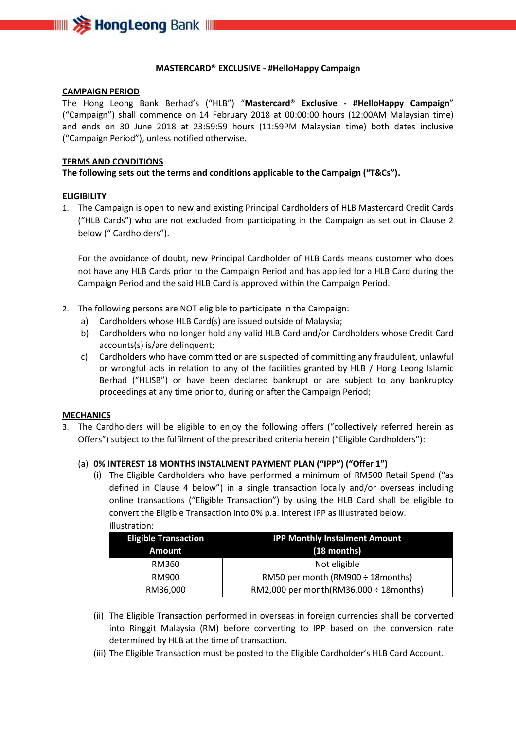

#### **MASTERCARD® EXCLUSIVE - #HelloHappy Campaign**

#### **CAMPAIGN PERIOD**

The Hong Leong Bank Berhad's ("HLB") "**Mastercard® Exclusive - #HelloHappy Campaign**" ("Campaign") shall commence on 14 February 2018 at 00:00:00 hours (12:00AM Malaysian time) and ends on 30 June 2018 at 23:59:59 hours (11:59PM Malaysian time) both dates inclusive ("Campaign Period"), unless notified otherwise.

## **TERMS AND CONDITIONS**

## **The following sets out the terms and conditions applicable to the Campaign ("T&Cs").**

## **ELIGIBILITY**

1. The Campaign is open to new and existing Principal Cardholders of HLB Mastercard Credit Cards ("HLB Cards") who are not excluded from participating in the Campaign as set out in Clause 2 below (" Cardholders").

For the avoidance of doubt, new Principal Cardholder of HLB Cards means customer who does not have any HLB Cards prior to the Campaign Period and has applied for a HLB Card during the Campaign Period and the said HLB Card is approved within the Campaign Period.

- 2. The following persons are NOT eligible to participate in the Campaign:
	- a) Cardholders whose HLB Card(s) are issued outside of Malaysia;
	- b) Cardholders who no longer hold any valid HLB Card and/or Cardholders whose Credit Card accounts(s) is/are delinquent;
	- c) Cardholders who have committed or are suspected of committing any fraudulent, unlawful or wrongful acts in relation to any of the facilities granted by HLB / Hong Leong Islamic Berhad ("HLISB") or have been declared bankrupt or are subject to any bankruptcy proceedings at any time prior to, during or after the Campaign Period;

## **MECHANICS**

3. The Cardholders will be eligible to enjoy the following offers ("collectively referred herein as Offers") subject to the fulfilment of the prescribed criteria herein ("Eligible Cardholders"):

## (a) **0% INTEREST 18 MONTHS INSTALMENT PAYMENT PLAN ("IPP") ("Offer 1")**

(i) The Eligible Cardholders who have performed a minimum of RM500 Retail Spend ("as defined in Clause 4 below") in a single transaction locally and/or overseas including online transactions ("Eligible Transaction") by using the HLB Card shall be eligible to convert the Eligible Transaction into 0% p.a. interest IPP as illustrated below. Illustration:

| <b>Eligible Transaction</b> | <b>IPP Monthly Instalment Amount</b>         |  |
|-----------------------------|----------------------------------------------|--|
| <b>Amount</b>               | $(18$ months)                                |  |
| RM360                       | Not eligible                                 |  |
| RM900                       | RM50 per month (RM900 ÷ 18 months)           |  |
| RM36,000                    | RM2,000 per month(RM36,000 $\div$ 18 months) |  |

- (ii) The Eligible Transaction performed in overseas in foreign currencies shall be converted into Ringgit Malaysia (RM) before converting to IPP based on the conversion rate determined by HLB at the time of transaction.
- (iii) The Eligible Transaction must be posted to the Eligible Cardholder's HLB Card Account.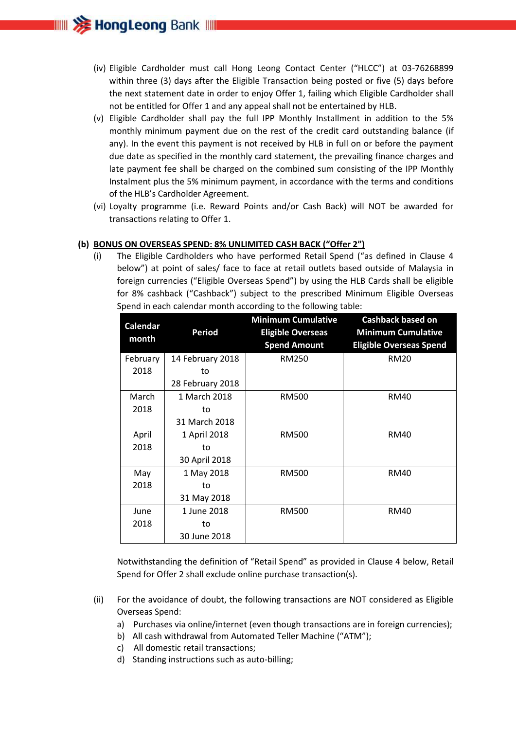

- (iv) Eligible Cardholder must call Hong Leong Contact Center ("HLCC") at 03-76268899 within three (3) days after the Eligible Transaction being posted or five (5) days before the next statement date in order to enjoy Offer 1, failing which Eligible Cardholder shall not be entitled for Offer 1 and any appeal shall not be entertained by HLB.
- (v) Eligible Cardholder shall pay the full IPP Monthly Installment in addition to the 5% monthly minimum payment due on the rest of the credit card outstanding balance (if any). In the event this payment is not received by HLB in full on or before the payment due date as specified in the monthly card statement, the prevailing finance charges and late payment fee shall be charged on the combined sum consisting of the IPP Monthly Instalment plus the 5% minimum payment, in accordance with the terms and conditions of the HLB's Cardholder Agreement.
- (vi) Loyalty programme (i.e. Reward Points and/or Cash Back) will NOT be awarded for transactions relating to Offer 1.

#### **(b) BONUS ON OVERSEAS SPEND: 8% UNLIMITED CASH BACK ("Offer 2")**

(i) The Eligible Cardholders who have performed Retail Spend ("as defined in Clause 4 below") at point of sales/ face to face at retail outlets based outside of Malaysia in foreign currencies ("Eligible Overseas Spend") by using the HLB Cards shall be eligible for 8% cashback ("Cashback") subject to the prescribed Minimum Eligible Overseas Spend in each calendar month according to the following table:

| <b>Calendar</b><br>month | Period           | <b>Minimum Cumulative</b><br><b>Eligible Overseas</b><br><b>Spend Amount</b> | <b>Cashback based on</b><br><b>Minimum Cumulative</b><br><b>Eligible Overseas Spend</b> |
|--------------------------|------------------|------------------------------------------------------------------------------|-----------------------------------------------------------------------------------------|
| February                 | 14 February 2018 | <b>RM250</b>                                                                 | <b>RM20</b>                                                                             |
| 2018                     | to               |                                                                              |                                                                                         |
|                          | 28 February 2018 |                                                                              |                                                                                         |
| March                    | 1 March 2018     | <b>RM500</b>                                                                 | RM40                                                                                    |
| 2018                     | to               |                                                                              |                                                                                         |
|                          | 31 March 2018    |                                                                              |                                                                                         |
| April                    | 1 April 2018     | <b>RM500</b>                                                                 | <b>RM40</b>                                                                             |
| 2018                     | to               |                                                                              |                                                                                         |
|                          | 30 April 2018    |                                                                              |                                                                                         |
| May                      | 1 May 2018       | <b>RM500</b>                                                                 | RM40                                                                                    |
| 2018                     | to               |                                                                              |                                                                                         |
|                          | 31 May 2018      |                                                                              |                                                                                         |
| June                     | 1 June 2018      | <b>RM500</b>                                                                 | <b>RM40</b>                                                                             |
| 2018                     | to               |                                                                              |                                                                                         |
|                          | 30 June 2018     |                                                                              |                                                                                         |

Notwithstanding the definition of "Retail Spend" as provided in Clause 4 below, Retail Spend for Offer 2 shall exclude online purchase transaction(s).

- (ii) For the avoidance of doubt, the following transactions are NOT considered as Eligible Overseas Spend:
	- a) Purchases via online/internet (even though transactions are in foreign currencies);
	- b) All cash withdrawal from Automated Teller Machine ("ATM");
	- c) All domestic retail transactions;
	- d) Standing instructions such as auto-billing;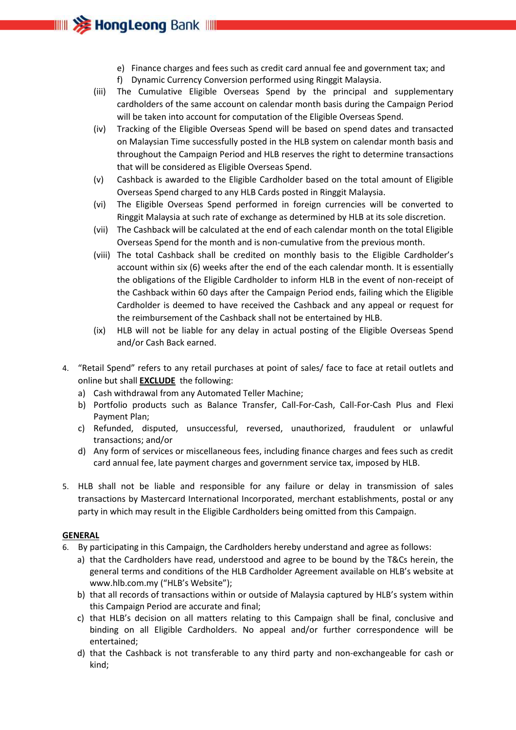# e) Finance charges and fees such as credit card annual fee and government tax; and

f) Dynamic Currency Conversion performed using Ringgit Malaysia.

**IIIII >>>>> HongLeong** Bank

- (iii) The Cumulative Eligible Overseas Spend by the principal and supplementary cardholders of the same account on calendar month basis during the Campaign Period will be taken into account for computation of the Eligible Overseas Spend.
- (iv) Tracking of the Eligible Overseas Spend will be based on spend dates and transacted on Malaysian Time successfully posted in the HLB system on calendar month basis and throughout the Campaign Period and HLB reserves the right to determine transactions that will be considered as Eligible Overseas Spend.
- (v) Cashback is awarded to the Eligible Cardholder based on the total amount of Eligible Overseas Spend charged to any HLB Cards posted in Ringgit Malaysia.
- (vi) The Eligible Overseas Spend performed in foreign currencies will be converted to Ringgit Malaysia at such rate of exchange as determined by HLB at its sole discretion.
- (vii) The Cashback will be calculated at the end of each calendar month on the total Eligible Overseas Spend for the month and is non-cumulative from the previous month.
- (viii) The total Cashback shall be credited on monthly basis to the Eligible Cardholder's account within six (6) weeks after the end of the each calendar month. It is essentially the obligations of the Eligible Cardholder to inform HLB in the event of non-receipt of the Cashback within 60 days after the Campaign Period ends, failing which the Eligible Cardholder is deemed to have received the Cashback and any appeal or request for the reimbursement of the Cashback shall not be entertained by HLB.
- (ix) HLB will not be liable for any delay in actual posting of the Eligible Overseas Spend and/or Cash Back earned.
- 4. "Retail Spend" refers to any retail purchases at point of sales/ face to face at retail outlets and online but shall **EXCLUDE** the following:
	- a) Cash withdrawal from any Automated Teller Machine;
	- b) Portfolio products such as Balance Transfer, Call-For-Cash, Call-For-Cash Plus and Flexi Payment Plan;
	- c) Refunded, disputed, unsuccessful, reversed, unauthorized, fraudulent or unlawful transactions; and/or
	- d) Any form of services or miscellaneous fees, including finance charges and fees such as credit card annual fee, late payment charges and government service tax, imposed by HLB.
- 5. HLB shall not be liable and responsible for any failure or delay in transmission of sales transactions by Mastercard International Incorporated, merchant establishments, postal or any party in which may result in the Eligible Cardholders being omitted from this Campaign.

## **GENERAL**

- 6. By participating in this Campaign, the Cardholders hereby understand and agree as follows:
	- a) that the Cardholders have read, understood and agree to be bound by the T&Cs herein, the general terms and conditions of the HLB Cardholder Agreement available on HLB's website at www.hlb.com.my ("HLB's Website");
	- b) that all records of transactions within or outside of Malaysia captured by HLB's system within this Campaign Period are accurate and final;
	- c) that HLB's decision on all matters relating to this Campaign shall be final, conclusive and binding on all Eligible Cardholders. No appeal and/or further correspondence will be entertained;
	- d) that the Cashback is not transferable to any third party and non-exchangeable for cash or kind;